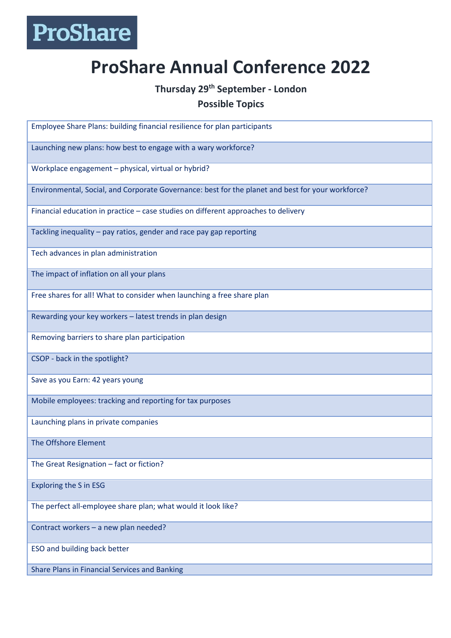## ProShare

## **ProShare Annual Conference 2022**

## **Thursday 29th September - London**

## **Possible Topics**

Employee Share Plans: building financial resilience for plan participants Launching new plans: how best to engage with a wary workforce? Workplace engagement – physical, virtual or hybrid? Environmental, Social, and Corporate Governance: best for the planet and best for your workforce? Financial education in practice – case studies on different approaches to delivery Tackling inequality – pay ratios, gender and race pay gap reporting Tech advances in plan administration The impact of inflation on all your plans Free shares for all! What to consider when launching a free share plan Rewarding your key workers – latest trends in plan design Removing barriers to share plan participation CSOP - back in the spotlight? Save as you Earn: 42 years young Mobile employees: tracking and reporting for tax purposes Launching plans in private companies The Offshore Element The Great Resignation – fact or fiction? Exploring the S in ESG The perfect all-employee share plan; what would it look like? Contract workers – a new plan needed? ESO and building back better Share Plans in Financial Services and Banking